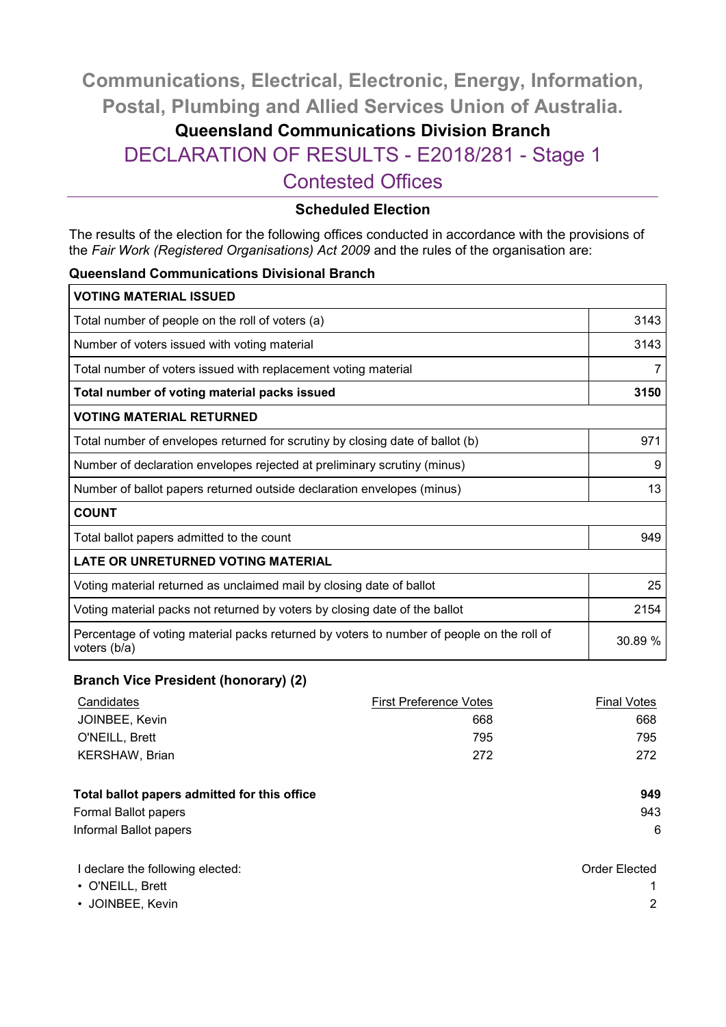# **Communications, Electrical, Electronic, Energy, Information, Postal, Plumbing and Allied Services Union of Australia.**

## **Queensland Communications Division Branch**

## DECLARATION OF RESULTS - E2018/281 - Stage 1

## Contested Offices

#### **Scheduled Election**

The results of the election for the following offices conducted in accordance with the provisions of the *Fair Work (Registered Organisations) Act 2009* and the rules of the organisation are:

# **Queensland Communications Divisional Branch VOTING MATERIAL ISSUED** Total number of people on the roll of voters (a) 3143 Number of voters issued with voting material 3143 Total number of voters issued with replacement voting material **7** and 7 and 7 and 7 and 7 and 7 and 7 and 7 and 7 and 7 and 7 and 7 and 7 and 7 and 7 and 7 and 7 and 7 and 7 and 7 and 7 and 7 and 7 and 7 and 7 and 7 and 7 **Total number of voting material packs issued 3150 VOTING MATERIAL RETURNED** Total number of envelopes returned for scrutiny by closing date of ballot (b)  $\vert$  971 Number of declaration envelopes rejected at preliminary scrutiny (minus)  $\vert$  9 Number of ballot papers returned outside declaration envelopes (minus) 13 13 **COUNT** Total ballot papers admitted to the count 949 **LATE OR UNRETURNED VOTING MATERIAL** Voting material returned as unclaimed mail by closing date of ballot  $\vert$  25 Voting material packs not returned by voters by closing date of the ballot **2154** 2154 Percentage of voting material packs returned by voters to number of people on the roll of voters (b/a) 30.89 %

#### **Branch Vice President (honorary) (2)**

| Candidates                                   | <b>First Preference Votes</b> | <b>Final Votes</b> |
|----------------------------------------------|-------------------------------|--------------------|
| JOINBEE, Kevin                               | 668                           | 668                |
| O'NEILL, Brett                               | 795                           | 795                |
| <b>KERSHAW, Brian</b>                        | 272                           | 272                |
| Total ballot papers admitted for this office |                               | 949                |
| Formal Ballot papers                         |                               | 943                |
| Informal Ballot papers                       |                               | 6                  |
| I declare the following elected:             |                               | Order Elected      |
| • O'NEILL, Brett                             |                               |                    |
| • JOINBEE, Kevin                             |                               | 2                  |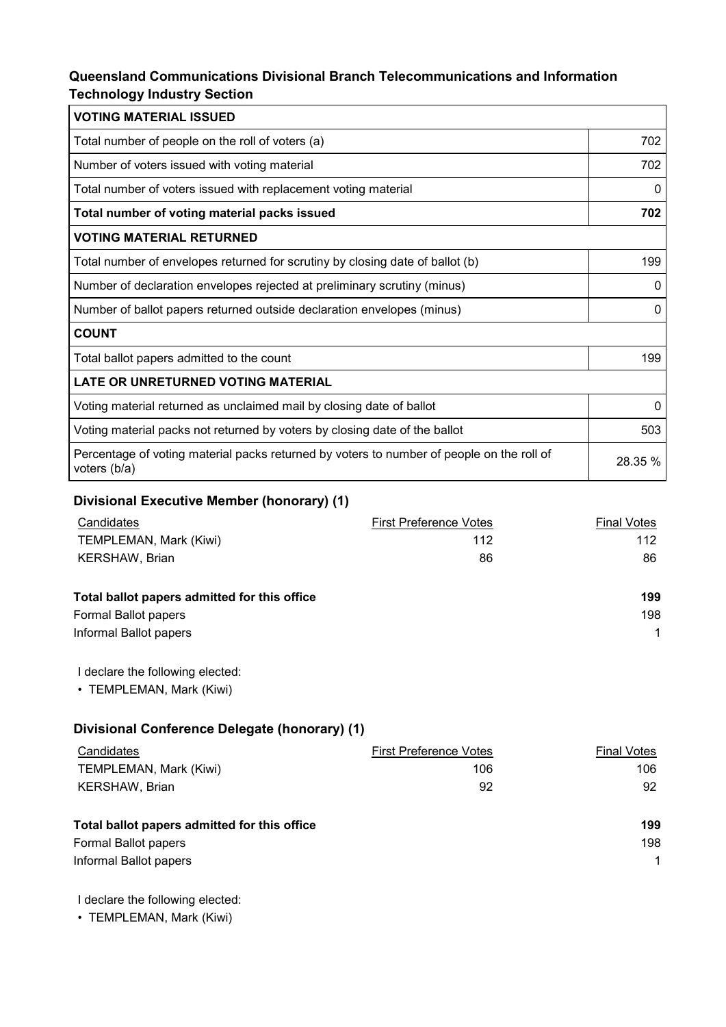#### **Queensland Communications Divisional Branch Telecommunications and Information Technology Industry Section**

| <b>VOTING MATERIAL ISSUED</b>                                                                             |             |
|-----------------------------------------------------------------------------------------------------------|-------------|
| Total number of people on the roll of voters (a)                                                          | 702         |
| Number of voters issued with voting material                                                              | 702         |
| Total number of voters issued with replacement voting material                                            | 0           |
| Total number of voting material packs issued                                                              | 702         |
| <b>VOTING MATERIAL RETURNED</b>                                                                           |             |
| Total number of envelopes returned for scrutiny by closing date of ballot (b)                             | 199         |
| Number of declaration envelopes rejected at preliminary scrutiny (minus)                                  | $\mathbf 0$ |
| Number of ballot papers returned outside declaration envelopes (minus)                                    | 0           |
| <b>COUNT</b>                                                                                              |             |
| Total ballot papers admitted to the count                                                                 | 199         |
| <b>LATE OR UNRETURNED VOTING MATERIAL</b>                                                                 |             |
| Voting material returned as unclaimed mail by closing date of ballot                                      | $\mathbf 0$ |
| Voting material packs not returned by voters by closing date of the ballot                                | 503         |
| Percentage of voting material packs returned by voters to number of people on the roll of<br>voters (b/a) | 28.35 %     |

#### **Divisional Executive Member (honorary) (1)**

| Candidates                                   | <b>First Preference Votes</b> | <b>Final Votes</b> |
|----------------------------------------------|-------------------------------|--------------------|
| TEMPLEMAN, Mark (Kiwi)                       | 112                           | 112                |
| KERSHAW, Brian                               | 86                            | 86                 |
|                                              |                               |                    |
| Total ballot papers admitted for this office |                               | 199                |
| Formal Ballot papers                         |                               | 198                |
| Informal Ballot papers                       |                               | 1                  |
|                                              |                               |                    |

I declare the following elected:

• TEMPLEMAN, Mark (Kiwi)

### **Divisional Conference Delegate (honorary) (1)**

| Candidates                                   | <b>First Preference Votes</b> | <b>Final Votes</b> |
|----------------------------------------------|-------------------------------|--------------------|
| TEMPLEMAN, Mark (Kiwi)                       | 106                           | 106                |
| KERSHAW, Brian                               | 92                            | 92                 |
|                                              |                               |                    |
| Total ballot papers admitted for this office |                               | 199                |
| Formal Ballot papers                         |                               | 198                |
| Informal Ballot papers                       |                               | 1                  |
|                                              |                               |                    |

I declare the following elected:

• TEMPLEMAN, Mark (Kiwi)